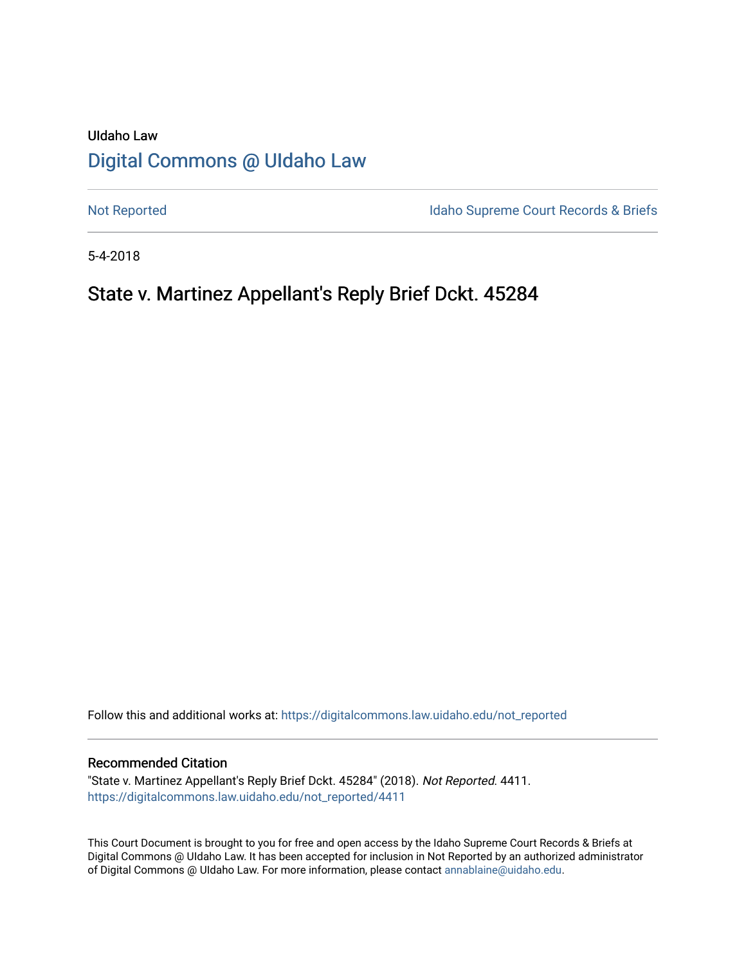# UIdaho Law [Digital Commons @ UIdaho Law](https://digitalcommons.law.uidaho.edu/)

[Not Reported](https://digitalcommons.law.uidaho.edu/not_reported) **Idaho Supreme Court Records & Briefs** 

5-4-2018

## State v. Martinez Appellant's Reply Brief Dckt. 45284

Follow this and additional works at: [https://digitalcommons.law.uidaho.edu/not\\_reported](https://digitalcommons.law.uidaho.edu/not_reported?utm_source=digitalcommons.law.uidaho.edu%2Fnot_reported%2F4411&utm_medium=PDF&utm_campaign=PDFCoverPages) 

#### Recommended Citation

"State v. Martinez Appellant's Reply Brief Dckt. 45284" (2018). Not Reported. 4411. [https://digitalcommons.law.uidaho.edu/not\\_reported/4411](https://digitalcommons.law.uidaho.edu/not_reported/4411?utm_source=digitalcommons.law.uidaho.edu%2Fnot_reported%2F4411&utm_medium=PDF&utm_campaign=PDFCoverPages)

This Court Document is brought to you for free and open access by the Idaho Supreme Court Records & Briefs at Digital Commons @ UIdaho Law. It has been accepted for inclusion in Not Reported by an authorized administrator of Digital Commons @ UIdaho Law. For more information, please contact [annablaine@uidaho.edu](mailto:annablaine@uidaho.edu).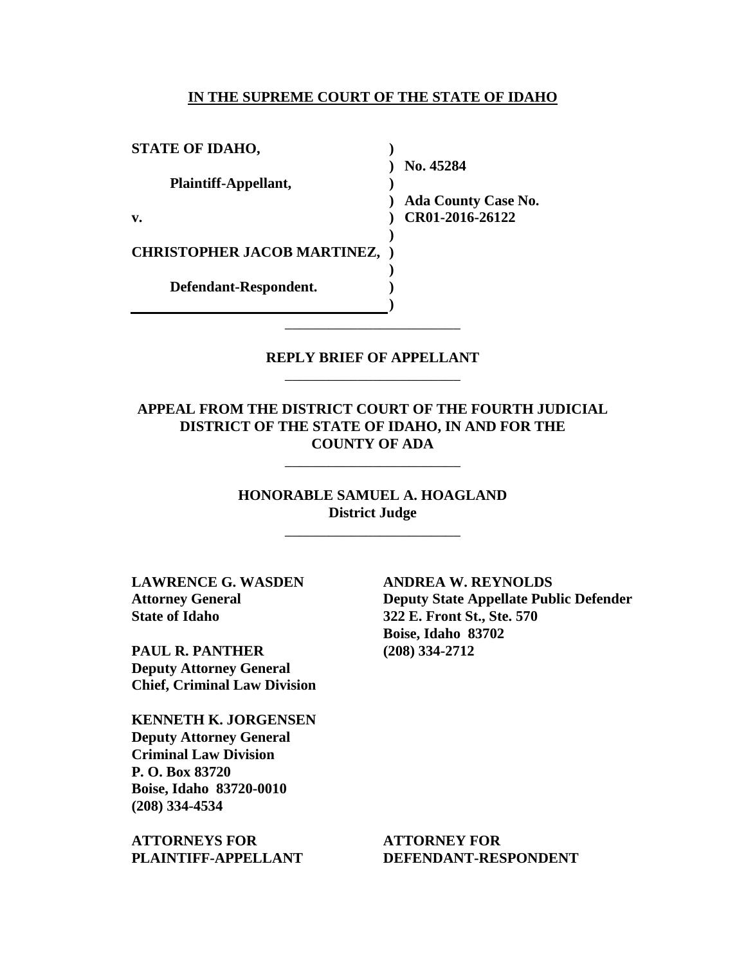#### **IN THE SUPREME COURT OF THE STATE OF IDAHO**

| <b>STATE OF IDAHO,</b>               |                            |
|--------------------------------------|----------------------------|
|                                      | No. 45284                  |
| Plaintiff-Appellant,                 |                            |
|                                      | <b>Ada County Case No.</b> |
| v.                                   | CR01-2016-26122            |
|                                      |                            |
| <b>CHRISTOPHER JACOB MARTINEZ, )</b> |                            |
|                                      |                            |
| Defendant-Respondent.                |                            |
|                                      |                            |

### **REPLY BRIEF OF APPELLANT** \_\_\_\_\_\_\_\_\_\_\_\_\_\_\_\_\_\_\_\_\_\_\_\_

\_\_\_\_\_\_\_\_\_\_\_\_\_\_\_\_\_\_\_\_\_\_\_\_

### **APPEAL FROM THE DISTRICT COURT OF THE FOURTH JUDICIAL DISTRICT OF THE STATE OF IDAHO, IN AND FOR THE COUNTY OF ADA**

\_\_\_\_\_\_\_\_\_\_\_\_\_\_\_\_\_\_\_\_\_\_\_\_

**HONORABLE SAMUEL A. HOAGLAND District Judge**

\_\_\_\_\_\_\_\_\_\_\_\_\_\_\_\_\_\_\_\_\_\_\_\_

**LAWRENCE G. WASDEN Attorney General State of Idaho**

**PAUL R. PANTHER Deputy Attorney General Chief, Criminal Law Division**

**KENNETH K. JORGENSEN Deputy Attorney General Criminal Law Division P. O. Box 83720 Boise, Idaho 83720-0010 (208) 334-4534** 

**ATTORNEYS FOR PLAINTIFF-APPELLANT** **ANDREA W. REYNOLDS Deputy State Appellate Public Defender 322 E. Front St., Ste. 570 Boise, Idaho 83702 (208) 334-2712** 

**ATTORNEY FOR DEFENDANT-RESPONDENT**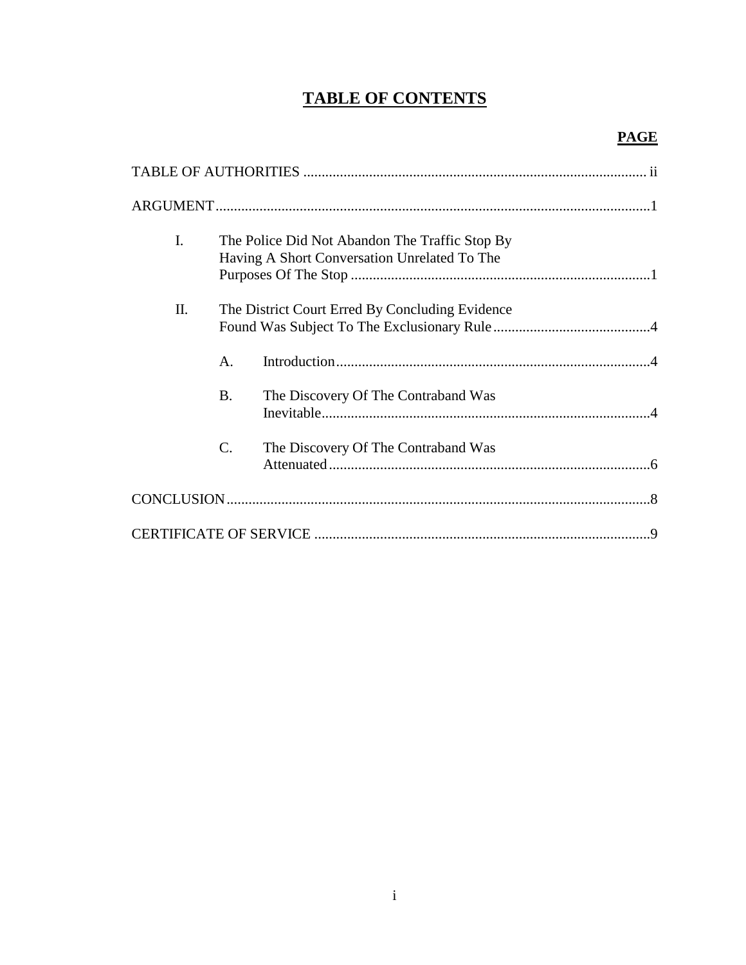## **TABLE OF CONTENTS**

## **PAGE**

| I. |                 | The Police Did Not Abandon The Traffic Stop By<br>Having A Short Conversation Unrelated To The |
|----|-----------------|------------------------------------------------------------------------------------------------|
| Π. |                 | The District Court Erred By Concluding Evidence                                                |
|    | A.              |                                                                                                |
|    | <b>B.</b>       | The Discovery Of The Contraband Was                                                            |
|    | $\mathcal{C}$ . | The Discovery Of The Contraband Was                                                            |
|    |                 |                                                                                                |
|    |                 |                                                                                                |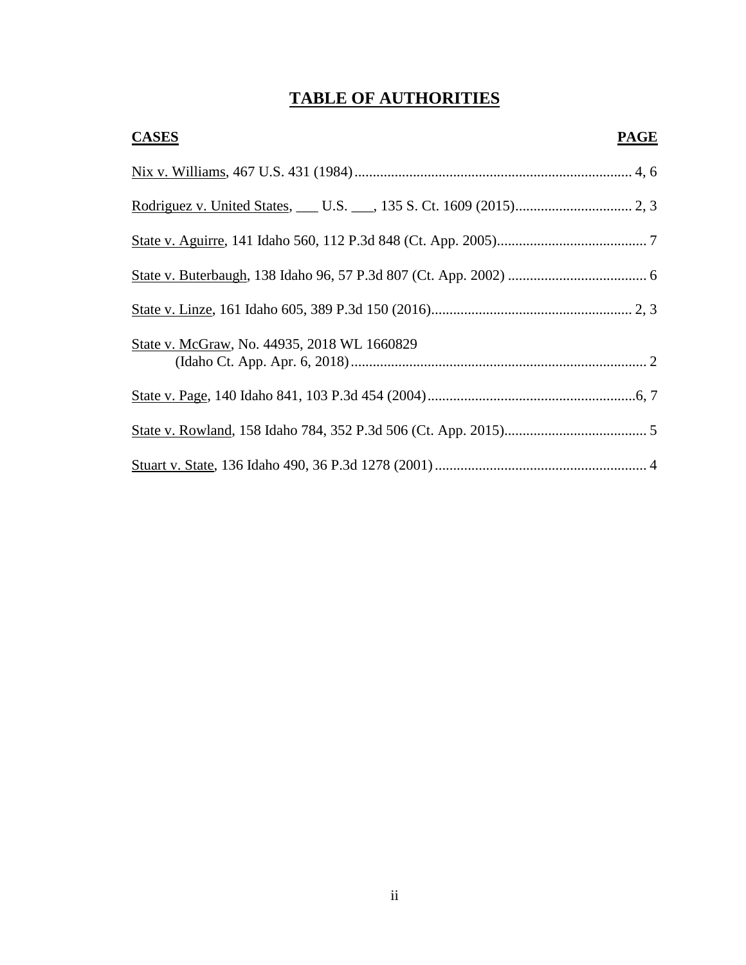# **TABLE OF AUTHORITIES**

| <b>CASES</b>                                | <b>PAGE</b> |
|---------------------------------------------|-------------|
|                                             |             |
|                                             |             |
|                                             |             |
|                                             |             |
|                                             |             |
| State v. McGraw, No. 44935, 2018 WL 1660829 |             |
|                                             |             |
|                                             |             |
|                                             |             |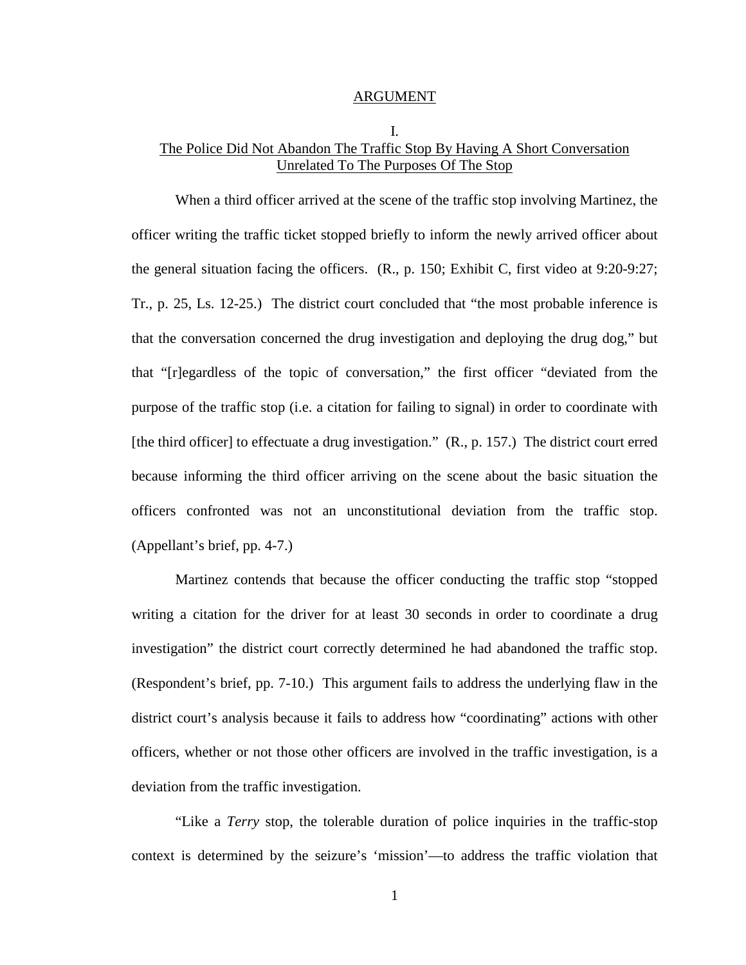#### ARGUMENT

## I. The Police Did Not Abandon The Traffic Stop By Having A Short Conversation Unrelated To The Purposes Of The Stop

When a third officer arrived at the scene of the traffic stop involving Martinez, the officer writing the traffic ticket stopped briefly to inform the newly arrived officer about the general situation facing the officers. (R., p. 150; Exhibit C, first video at 9:20-9:27; Tr., p. 25, Ls. 12-25.) The district court concluded that "the most probable inference is that the conversation concerned the drug investigation and deploying the drug dog," but that "[r]egardless of the topic of conversation," the first officer "deviated from the purpose of the traffic stop (i.e. a citation for failing to signal) in order to coordinate with [the third officer] to effectuate a drug investigation." (R., p. 157.) The district court erred because informing the third officer arriving on the scene about the basic situation the officers confronted was not an unconstitutional deviation from the traffic stop. (Appellant's brief, pp. 4-7.)

Martinez contends that because the officer conducting the traffic stop "stopped writing a citation for the driver for at least 30 seconds in order to coordinate a drug investigation" the district court correctly determined he had abandoned the traffic stop. (Respondent's brief, pp. 7-10.) This argument fails to address the underlying flaw in the district court's analysis because it fails to address how "coordinating" actions with other officers, whether or not those other officers are involved in the traffic investigation, is a deviation from the traffic investigation.

 "Like a *Terry* stop, the tolerable duration of police inquiries in the traffic-stop context is determined by the seizure's 'mission'—to address the traffic violation that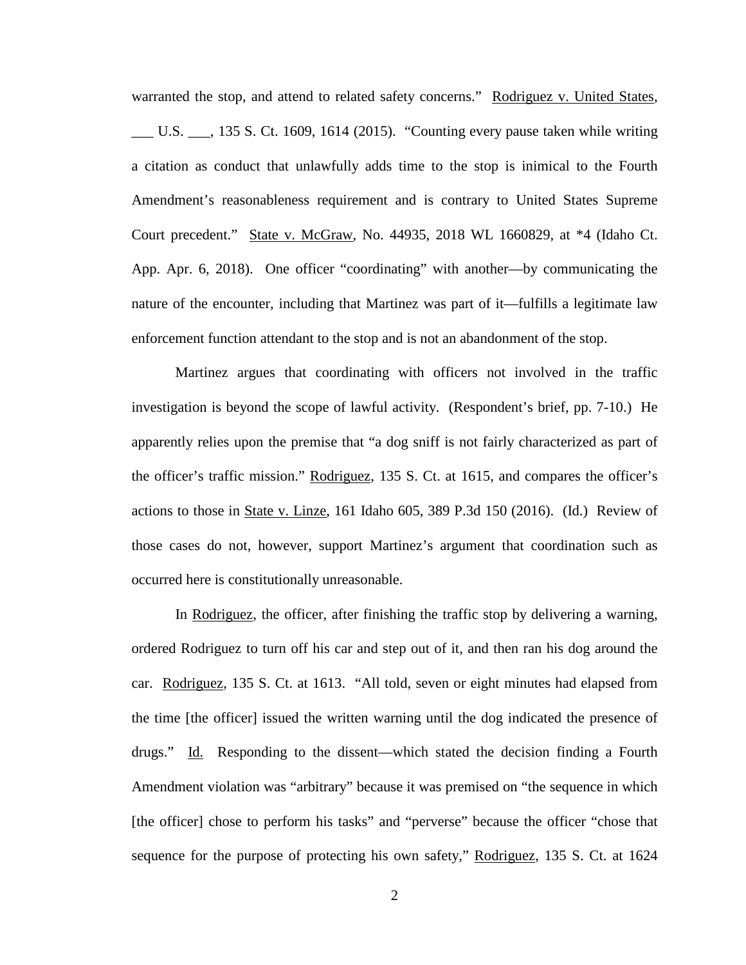warranted the stop, and attend to related safety concerns." Rodriguez v. United States, \_\_\_ U.S. \_\_\_, 135 S. Ct. 1609, 1614 (2015). "Counting every pause taken while writing a citation as conduct that unlawfully adds time to the stop is inimical to the Fourth Amendment's reasonableness requirement and is contrary to United States Supreme Court precedent." State v. McGraw, No. 44935, 2018 WL 1660829, at \*4 (Idaho Ct. App. Apr. 6, 2018). One officer "coordinating" with another—by communicating the nature of the encounter, including that Martinez was part of it—fulfills a legitimate law enforcement function attendant to the stop and is not an abandonment of the stop.

Martinez argues that coordinating with officers not involved in the traffic investigation is beyond the scope of lawful activity. (Respondent's brief, pp. 7-10.) He apparently relies upon the premise that "a dog sniff is not fairly characterized as part of the officer's traffic mission." Rodriguez, 135 S. Ct. at 1615, and compares the officer's actions to those in State v. Linze, 161 Idaho 605, 389 P.3d 150 (2016). (Id.) Review of those cases do not, however, support Martinez's argument that coordination such as occurred here is constitutionally unreasonable.

In Rodriguez, the officer, after finishing the traffic stop by delivering a warning, ordered Rodriguez to turn off his car and step out of it, and then ran his dog around the car. Rodriguez, 135 S. Ct. at 1613. "All told, seven or eight minutes had elapsed from the time [the officer] issued the written warning until the dog indicated the presence of drugs." Id. Responding to the dissent—which stated the decision finding a Fourth Amendment violation was "arbitrary" because it was premised on "the sequence in which [the officer] chose to perform his tasks" and "perverse" because the officer "chose that sequence for the purpose of protecting his own safety," Rodriguez, 135 S. Ct. at 1624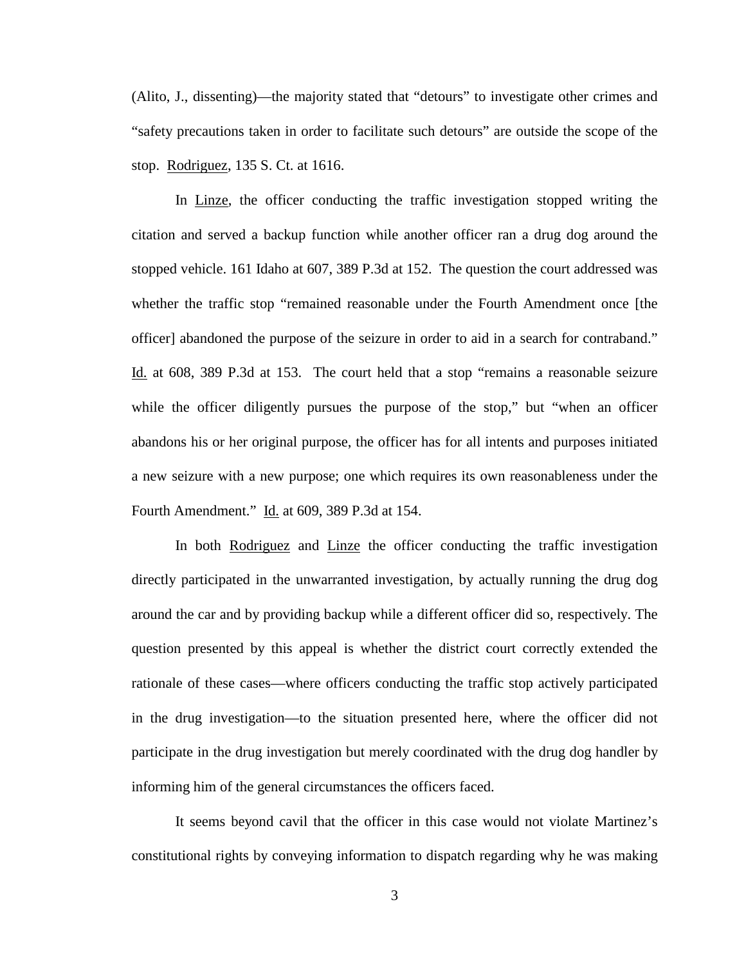(Alito, J., dissenting)—the majority stated that "detours" to investigate other crimes and "safety precautions taken in order to facilitate such detours" are outside the scope of the stop. Rodriguez, 135 S. Ct. at 1616.

In Linze, the officer conducting the traffic investigation stopped writing the citation and served a backup function while another officer ran a drug dog around the stopped vehicle. 161 Idaho at 607, 389 P.3d at 152. The question the court addressed was whether the traffic stop "remained reasonable under the Fourth Amendment once [the officer] abandoned the purpose of the seizure in order to aid in a search for contraband." Id. at 608, 389 P.3d at 153. The court held that a stop "remains a reasonable seizure while the officer diligently pursues the purpose of the stop," but "when an officer abandons his or her original purpose, the officer has for all intents and purposes initiated a new seizure with a new purpose; one which requires its own reasonableness under the Fourth Amendment." Id. at 609, 389 P.3d at 154.

In both Rodriguez and Linze the officer conducting the traffic investigation directly participated in the unwarranted investigation, by actually running the drug dog around the car and by providing backup while a different officer did so, respectively. The question presented by this appeal is whether the district court correctly extended the rationale of these cases—where officers conducting the traffic stop actively participated in the drug investigation—to the situation presented here, where the officer did not participate in the drug investigation but merely coordinated with the drug dog handler by informing him of the general circumstances the officers faced.

It seems beyond cavil that the officer in this case would not violate Martinez's constitutional rights by conveying information to dispatch regarding why he was making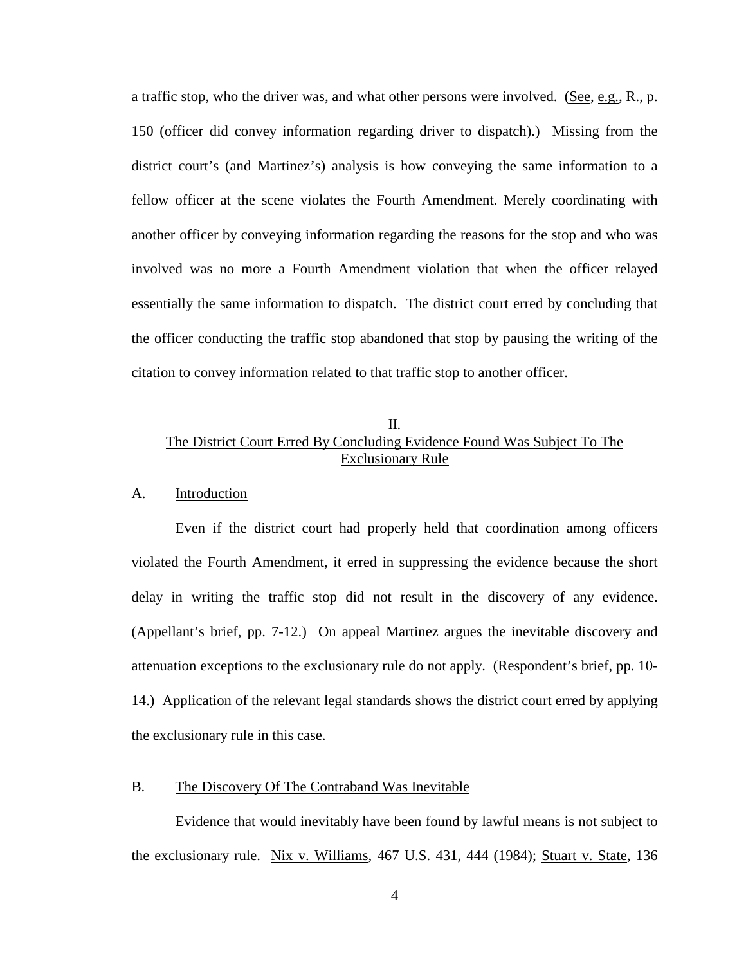a traffic stop, who the driver was, and what other persons were involved. (See, e.g., R., p. 150 (officer did convey information regarding driver to dispatch).) Missing from the district court's (and Martinez's) analysis is how conveying the same information to a fellow officer at the scene violates the Fourth Amendment. Merely coordinating with another officer by conveying information regarding the reasons for the stop and who was involved was no more a Fourth Amendment violation that when the officer relayed essentially the same information to dispatch. The district court erred by concluding that the officer conducting the traffic stop abandoned that stop by pausing the writing of the citation to convey information related to that traffic stop to another officer.

## II. The District Court Erred By Concluding Evidence Found Was Subject To The Exclusionary Rule

#### A. Introduction

Even if the district court had properly held that coordination among officers violated the Fourth Amendment, it erred in suppressing the evidence because the short delay in writing the traffic stop did not result in the discovery of any evidence. (Appellant's brief, pp. 7-12.) On appeal Martinez argues the inevitable discovery and attenuation exceptions to the exclusionary rule do not apply. (Respondent's brief, pp. 10- 14.) Application of the relevant legal standards shows the district court erred by applying the exclusionary rule in this case.

#### B. The Discovery Of The Contraband Was Inevitable

Evidence that would inevitably have been found by lawful means is not subject to the exclusionary rule. Nix v. Williams, 467 U.S. 431, 444 (1984); Stuart v. State, 136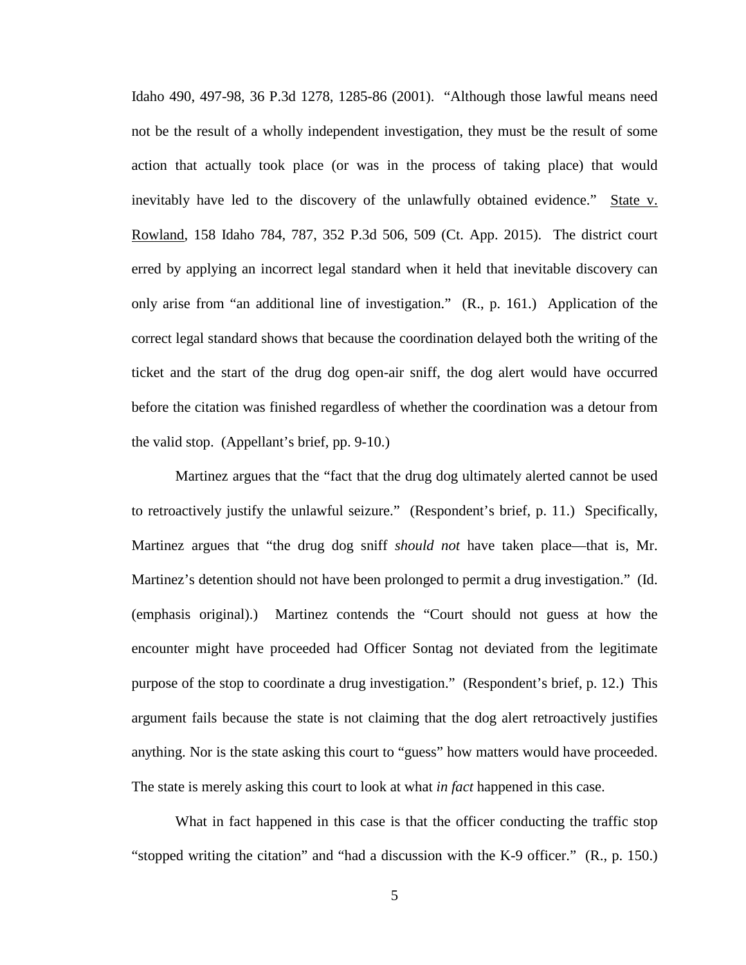Idaho 490, 497-98, 36 P.3d 1278, 1285-86 (2001). "Although those lawful means need not be the result of a wholly independent investigation, they must be the result of some action that actually took place (or was in the process of taking place) that would inevitably have led to the discovery of the unlawfully obtained evidence." State v. Rowland, 158 Idaho 784, 787, 352 P.3d 506, 509 (Ct. App. 2015). The district court erred by applying an incorrect legal standard when it held that inevitable discovery can only arise from "an additional line of investigation." (R., p. 161.) Application of the correct legal standard shows that because the coordination delayed both the writing of the ticket and the start of the drug dog open-air sniff, the dog alert would have occurred before the citation was finished regardless of whether the coordination was a detour from the valid stop. (Appellant's brief, pp. 9-10.)

Martinez argues that the "fact that the drug dog ultimately alerted cannot be used to retroactively justify the unlawful seizure." (Respondent's brief, p. 11.) Specifically, Martinez argues that "the drug dog sniff *should not* have taken place—that is, Mr. Martinez's detention should not have been prolonged to permit a drug investigation." (Id. (emphasis original).) Martinez contends the "Court should not guess at how the encounter might have proceeded had Officer Sontag not deviated from the legitimate purpose of the stop to coordinate a drug investigation." (Respondent's brief, p. 12.) This argument fails because the state is not claiming that the dog alert retroactively justifies anything. Nor is the state asking this court to "guess" how matters would have proceeded. The state is merely asking this court to look at what *in fact* happened in this case.

What in fact happened in this case is that the officer conducting the traffic stop "stopped writing the citation" and "had a discussion with the K-9 officer." (R., p. 150.)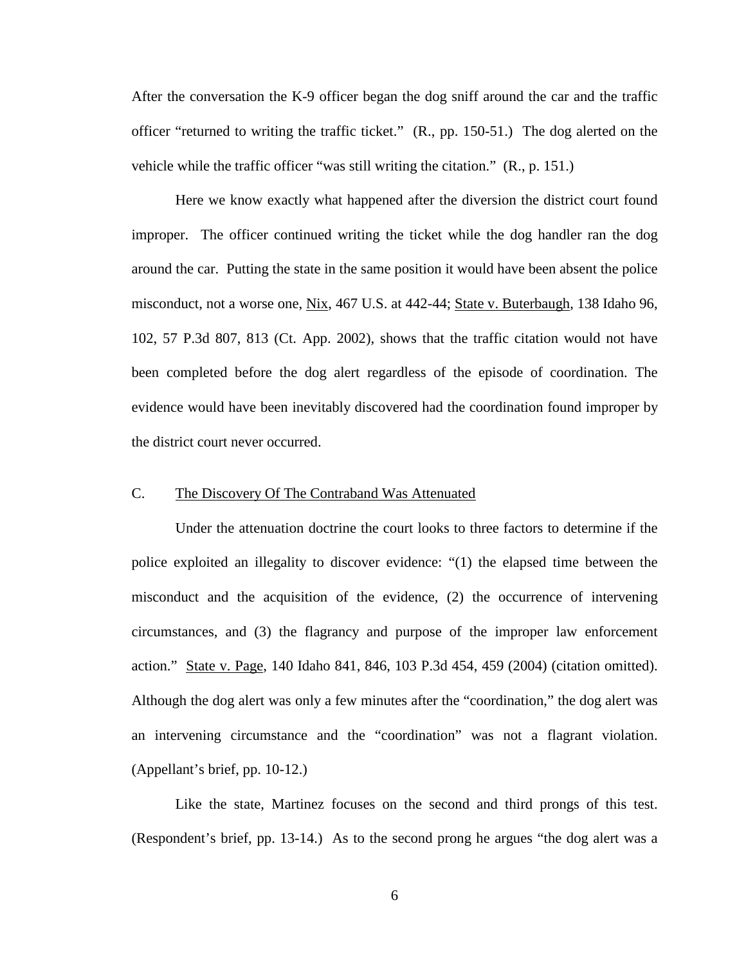After the conversation the K-9 officer began the dog sniff around the car and the traffic officer "returned to writing the traffic ticket." (R., pp. 150-51.) The dog alerted on the vehicle while the traffic officer "was still writing the citation." (R., p. 151.)

Here we know exactly what happened after the diversion the district court found improper. The officer continued writing the ticket while the dog handler ran the dog around the car. Putting the state in the same position it would have been absent the police misconduct, not a worse one, Nix, 467 U.S. at 442-44; State v. Buterbaugh, 138 Idaho 96, 102, 57 P.3d 807, 813 (Ct. App. 2002), shows that the traffic citation would not have been completed before the dog alert regardless of the episode of coordination. The evidence would have been inevitably discovered had the coordination found improper by the district court never occurred.

#### C. The Discovery Of The Contraband Was Attenuated

Under the attenuation doctrine the court looks to three factors to determine if the police exploited an illegality to discover evidence: "(1) the elapsed time between the misconduct and the acquisition of the evidence, (2) the occurrence of intervening circumstances, and (3) the flagrancy and purpose of the improper law enforcement action." State v. Page, 140 Idaho 841, 846, 103 P.3d 454, 459 (2004) (citation omitted). Although the dog alert was only a few minutes after the "coordination," the dog alert was an intervening circumstance and the "coordination" was not a flagrant violation. (Appellant's brief, pp. 10-12.)

Like the state, Martinez focuses on the second and third prongs of this test. (Respondent's brief, pp. 13-14.) As to the second prong he argues "the dog alert was a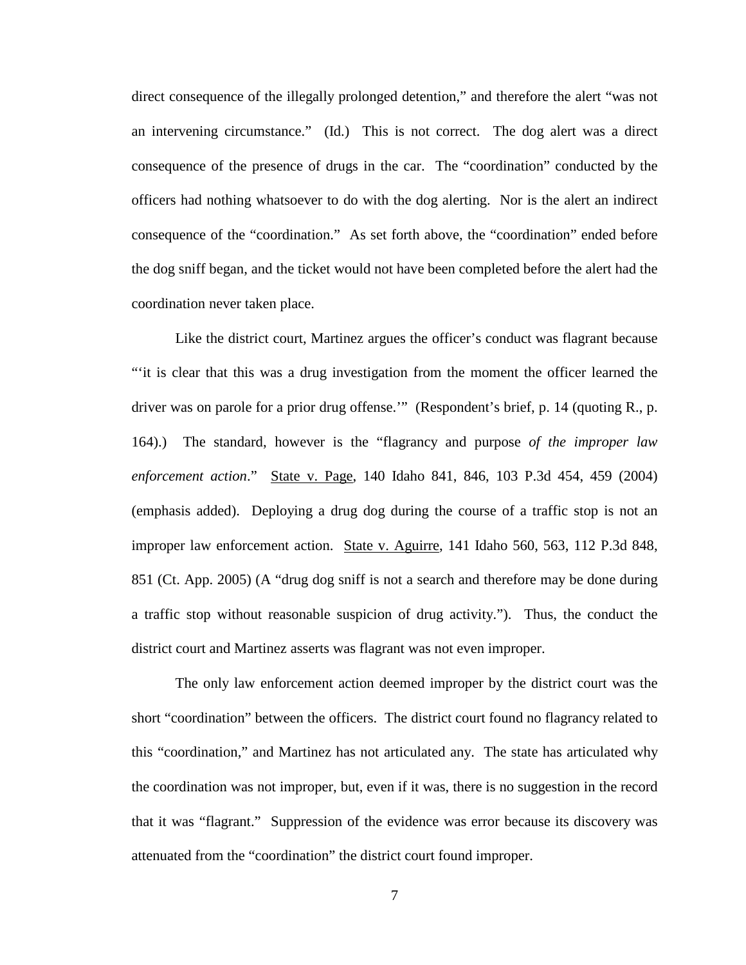direct consequence of the illegally prolonged detention," and therefore the alert "was not an intervening circumstance." (Id.) This is not correct. The dog alert was a direct consequence of the presence of drugs in the car. The "coordination" conducted by the officers had nothing whatsoever to do with the dog alerting. Nor is the alert an indirect consequence of the "coordination." As set forth above, the "coordination" ended before the dog sniff began, and the ticket would not have been completed before the alert had the coordination never taken place.

Like the district court, Martinez argues the officer's conduct was flagrant because "'it is clear that this was a drug investigation from the moment the officer learned the driver was on parole for a prior drug offense.'" (Respondent's brief, p. 14 (quoting R., p. 164).) The standard, however is the "flagrancy and purpose *of the improper law enforcement action*." State v. Page, 140 Idaho 841, 846, 103 P.3d 454, 459 (2004) (emphasis added). Deploying a drug dog during the course of a traffic stop is not an improper law enforcement action. State v. Aguirre, 141 Idaho 560, 563, 112 P.3d 848, 851 (Ct. App. 2005) (A "drug dog sniff is not a search and therefore may be done during a traffic stop without reasonable suspicion of drug activity."). Thus, the conduct the district court and Martinez asserts was flagrant was not even improper.

The only law enforcement action deemed improper by the district court was the short "coordination" between the officers. The district court found no flagrancy related to this "coordination," and Martinez has not articulated any. The state has articulated why the coordination was not improper, but, even if it was, there is no suggestion in the record that it was "flagrant." Suppression of the evidence was error because its discovery was attenuated from the "coordination" the district court found improper.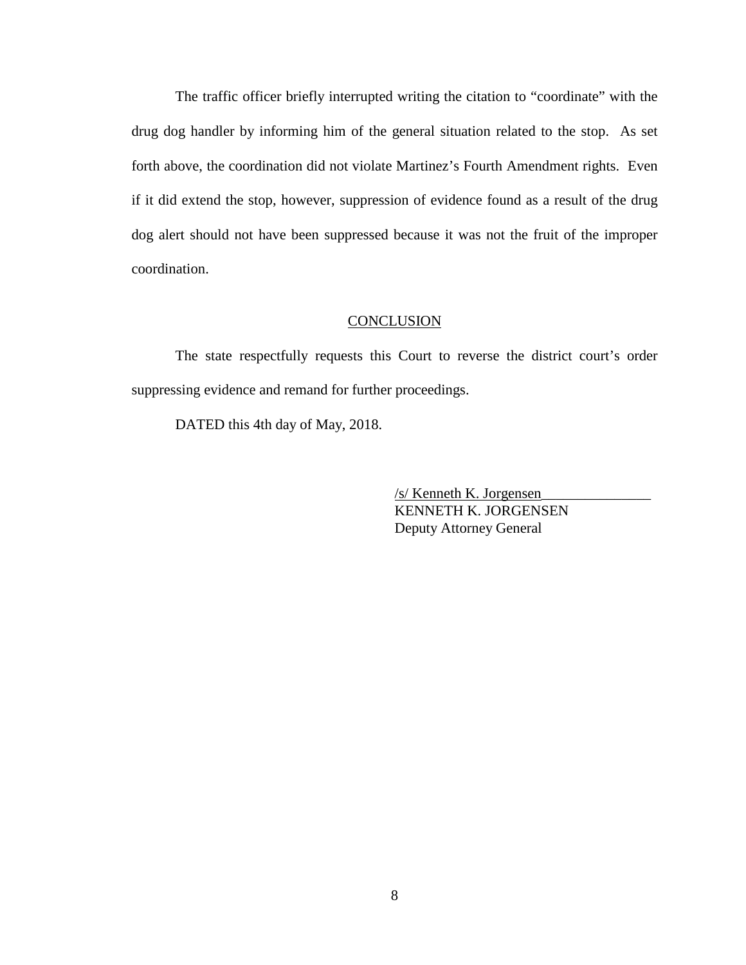The traffic officer briefly interrupted writing the citation to "coordinate" with the drug dog handler by informing him of the general situation related to the stop. As set forth above, the coordination did not violate Martinez's Fourth Amendment rights. Even if it did extend the stop, however, suppression of evidence found as a result of the drug dog alert should not have been suppressed because it was not the fruit of the improper coordination.

#### **CONCLUSION**

The state respectfully requests this Court to reverse the district court's order suppressing evidence and remand for further proceedings.

DATED this 4th day of May, 2018.

 /s/ Kenneth K. Jorgensen\_\_\_\_\_\_\_\_\_\_\_\_\_\_\_ KENNETH K. JORGENSEN Deputy Attorney General